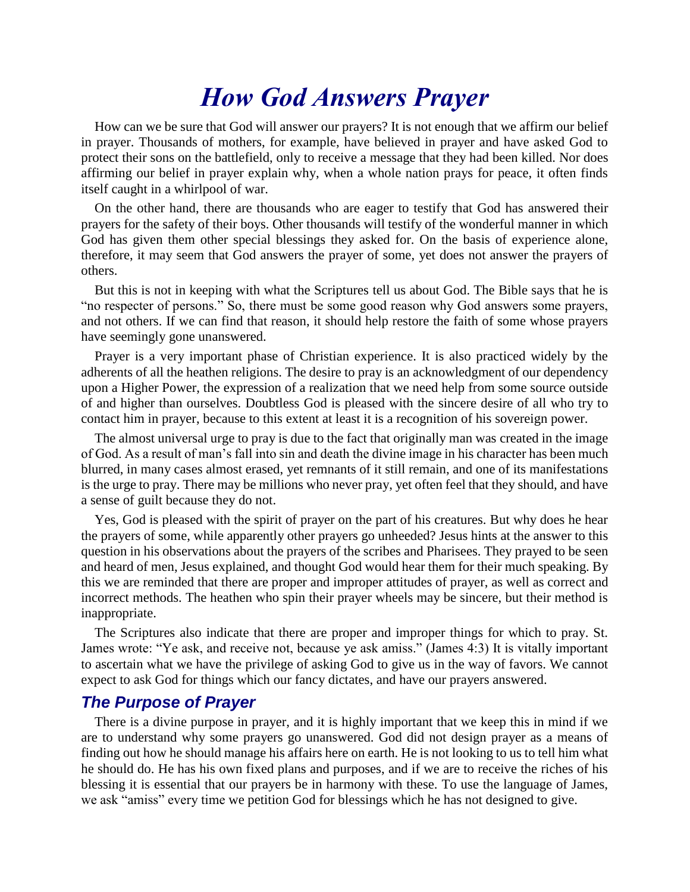# *How God Answers Prayer*

How can we be sure that God will answer our prayers? It is not enough that we affirm our belief in prayer. Thousands of mothers, for example, have believed in prayer and have asked God to protect their sons on the battlefield, only to receive a message that they had been killed. Nor does affirming our belief in prayer explain why, when a whole nation prays for peace, it often finds itself caught in a whirlpool of war.

On the other hand, there are thousands who are eager to testify that God has answered their prayers for the safety of their boys. Other thousands will testify of the wonderful manner in which God has given them other special blessings they asked for. On the basis of experience alone, therefore, it may seem that God answers the prayer of some, yet does not answer the prayers of others.

But this is not in keeping with what the Scriptures tell us about God. The Bible says that he is "no respecter of persons." So, there must be some good reason why God answers some prayers, and not others. If we can find that reason, it should help restore the faith of some whose prayers have seemingly gone unanswered.

Prayer is a very important phase of Christian experience. It is also practiced widely by the adherents of all the heathen religions. The desire to pray is an acknowledgment of our dependency upon a Higher Power, the expression of a realization that we need help from some source outside of and higher than ourselves. Doubtless God is pleased with the sincere desire of all who try to contact him in prayer, because to this extent at least it is a recognition of his sovereign power.

The almost universal urge to pray is due to the fact that originally man was created in the image of God. As a result of man's fall into sin and death the divine image in his character has been much blurred, in many cases almost erased, yet remnants of it still remain, and one of its manifestations is the urge to pray. There may be millions who never pray, yet often feel that they should, and have a sense of guilt because they do not.

Yes, God is pleased with the spirit of prayer on the part of his creatures. But why does he hear the prayers of some, while apparently other prayers go unheeded? Jesus hints at the answer to this question in his observations about the prayers of the scribes and Pharisees. They prayed to be seen and heard of men, Jesus explained, and thought God would hear them for their much speaking. By this we are reminded that there are proper and improper attitudes of prayer, as well as correct and incorrect methods. The heathen who spin their prayer wheels may be sincere, but their method is inappropriate.

The Scriptures also indicate that there are proper and improper things for which to pray. St. James wrote: "Ye ask, and receive not, because ye ask amiss." (James 4:3) It is vitally important to ascertain what we have the privilege of asking God to give us in the way of favors. We cannot expect to ask God for things which our fancy dictates, and have our prayers answered.

### *The Purpose of Prayer*

There is a divine purpose in prayer, and it is highly important that we keep this in mind if we are to understand why some prayers go unanswered. God did not design prayer as a means of finding out how he should manage his affairs here on earth. He is not looking to us to tell him what he should do. He has his own fixed plans and purposes, and if we are to receive the riches of his blessing it is essential that our prayers be in harmony with these. To use the language of James, we ask "amiss" every time we petition God for blessings which he has not designed to give.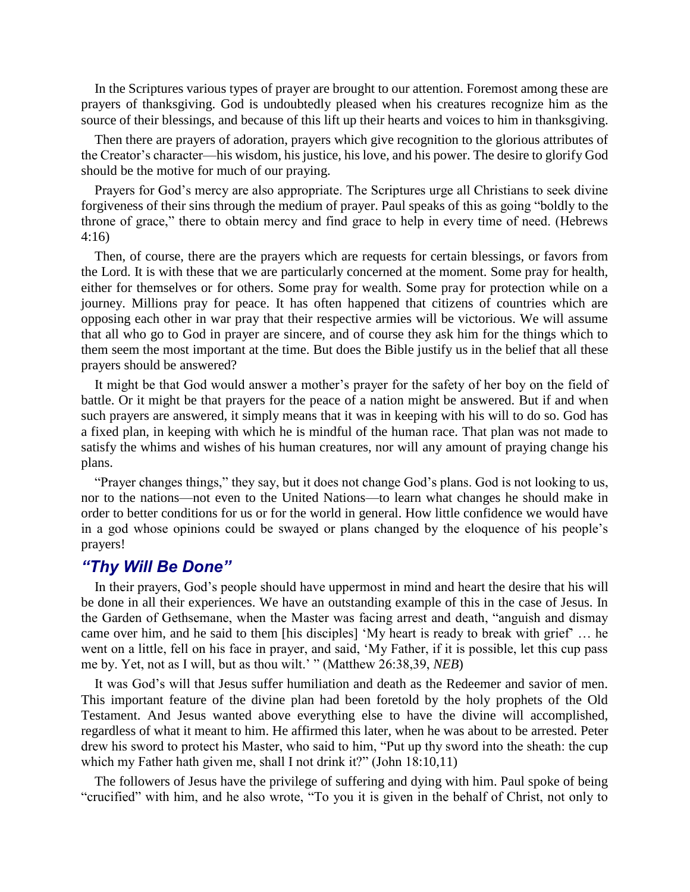In the Scriptures various types of prayer are brought to our attention. Foremost among these are prayers of thanksgiving. God is undoubtedly pleased when his creatures recognize him as the source of their blessings, and because of this lift up their hearts and voices to him in thanksgiving.

Then there are prayers of adoration, prayers which give recognition to the glorious attributes of the Creator's character—his wisdom, his justice, his love, and his power. The desire to glorify God should be the motive for much of our praying.

Prayers for God's mercy are also appropriate. The Scriptures urge all Christians to seek divine forgiveness of their sins through the medium of prayer. Paul speaks of this as going "boldly to the throne of grace," there to obtain mercy and find grace to help in every time of need. (Hebrews 4:16)

Then, of course, there are the prayers which are requests for certain blessings, or favors from the Lord. It is with these that we are particularly concerned at the moment. Some pray for health, either for themselves or for others. Some pray for wealth. Some pray for protection while on a journey. Millions pray for peace. It has often happened that citizens of countries which are opposing each other in war pray that their respective armies will be victorious. We will assume that all who go to God in prayer are sincere, and of course they ask him for the things which to them seem the most important at the time. But does the Bible justify us in the belief that all these prayers should be answered?

It might be that God would answer a mother's prayer for the safety of her boy on the field of battle. Or it might be that prayers for the peace of a nation might be answered. But if and when such prayers are answered, it simply means that it was in keeping with his will to do so. God has a fixed plan, in keeping with which he is mindful of the human race. That plan was not made to satisfy the whims and wishes of his human creatures, nor will any amount of praying change his plans.

"Prayer changes things," they say, but it does not change God's plans. God is not looking to us, nor to the nations—not even to the United Nations—to learn what changes he should make in order to better conditions for us or for the world in general. How little confidence we would have in a god whose opinions could be swayed or plans changed by the eloquence of his people's prayers!

### *"Thy Will Be Done"*

In their prayers, God's people should have uppermost in mind and heart the desire that his will be done in all their experiences. We have an outstanding example of this in the case of Jesus. In the Garden of Gethsemane, when the Master was facing arrest and death, "anguish and dismay came over him, and he said to them [his disciples] 'My heart is ready to break with grief' … he went on a little, fell on his face in prayer, and said, 'My Father, if it is possible, let this cup pass me by. Yet, not as I will, but as thou wilt.' " (Matthew 26:38,39, *NEB*)

It was God's will that Jesus suffer humiliation and death as the Redeemer and savior of men. This important feature of the divine plan had been foretold by the holy prophets of the Old Testament. And Jesus wanted above everything else to have the divine will accomplished, regardless of what it meant to him. He affirmed this later, when he was about to be arrested. Peter drew his sword to protect his Master, who said to him, "Put up thy sword into the sheath: the cup which my Father hath given me, shall I not drink it?" (John 18:10,11)

The followers of Jesus have the privilege of suffering and dying with him. Paul spoke of being "crucified" with him, and he also wrote, "To you it is given in the behalf of Christ, not only to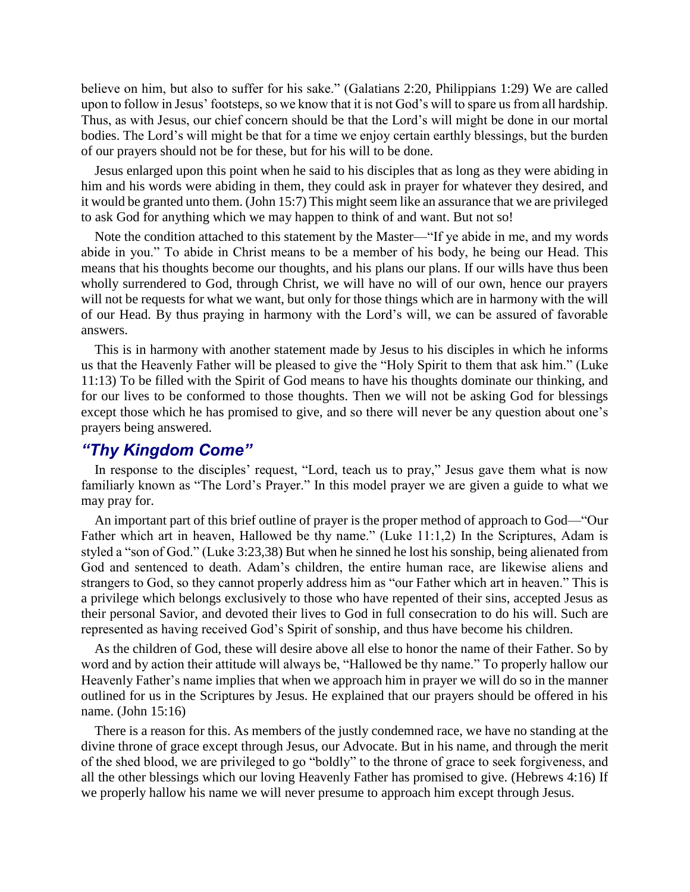believe on him, but also to suffer for his sake." (Galatians 2:20, Philippians 1:29) We are called upon to follow in Jesus' footsteps, so we know that it is not God's will to spare us from all hardship. Thus, as with Jesus, our chief concern should be that the Lord's will might be done in our mortal bodies. The Lord's will might be that for a time we enjoy certain earthly blessings, but the burden of our prayers should not be for these, but for his will to be done.

Jesus enlarged upon this point when he said to his disciples that as long as they were abiding in him and his words were abiding in them, they could ask in prayer for whatever they desired, and it would be granted unto them. (John 15:7) This might seem like an assurance that we are privileged to ask God for anything which we may happen to think of and want. But not so!

Note the condition attached to this statement by the Master—"If ye abide in me, and my words abide in you." To abide in Christ means to be a member of his body, he being our Head. This means that his thoughts become our thoughts, and his plans our plans. If our wills have thus been wholly surrendered to God, through Christ, we will have no will of our own, hence our prayers will not be requests for what we want, but only for those things which are in harmony with the will of our Head. By thus praying in harmony with the Lord's will, we can be assured of favorable answers.

This is in harmony with another statement made by Jesus to his disciples in which he informs us that the Heavenly Father will be pleased to give the "Holy Spirit to them that ask him." (Luke 11:13) To be filled with the Spirit of God means to have his thoughts dominate our thinking, and for our lives to be conformed to those thoughts. Then we will not be asking God for blessings except those which he has promised to give, and so there will never be any question about one's prayers being answered.

## *"Thy Kingdom Come"*

In response to the disciples' request, "Lord, teach us to pray," Jesus gave them what is now familiarly known as "The Lord's Prayer." In this model prayer we are given a guide to what we may pray for.

An important part of this brief outline of prayer is the proper method of approach to God—"Our Father which art in heaven, Hallowed be thy name." (Luke 11:1,2) In the Scriptures, Adam is styled a "son of God." (Luke 3:23,38) But when he sinned he lost his sonship, being alienated from God and sentenced to death. Adam's children, the entire human race, are likewise aliens and strangers to God, so they cannot properly address him as "our Father which art in heaven." This is a privilege which belongs exclusively to those who have repented of their sins, accepted Jesus as their personal Savior, and devoted their lives to God in full consecration to do his will. Such are represented as having received God's Spirit of sonship, and thus have become his children.

As the children of God, these will desire above all else to honor the name of their Father. So by word and by action their attitude will always be, "Hallowed be thy name." To properly hallow our Heavenly Father's name implies that when we approach him in prayer we will do so in the manner outlined for us in the Scriptures by Jesus. He explained that our prayers should be offered in his name. (John 15:16)

There is a reason for this. As members of the justly condemned race, we have no standing at the divine throne of grace except through Jesus, our Advocate. But in his name, and through the merit of the shed blood, we are privileged to go "boldly" to the throne of grace to seek forgiveness, and all the other blessings which our loving Heavenly Father has promised to give. (Hebrews 4:16) If we properly hallow his name we will never presume to approach him except through Jesus.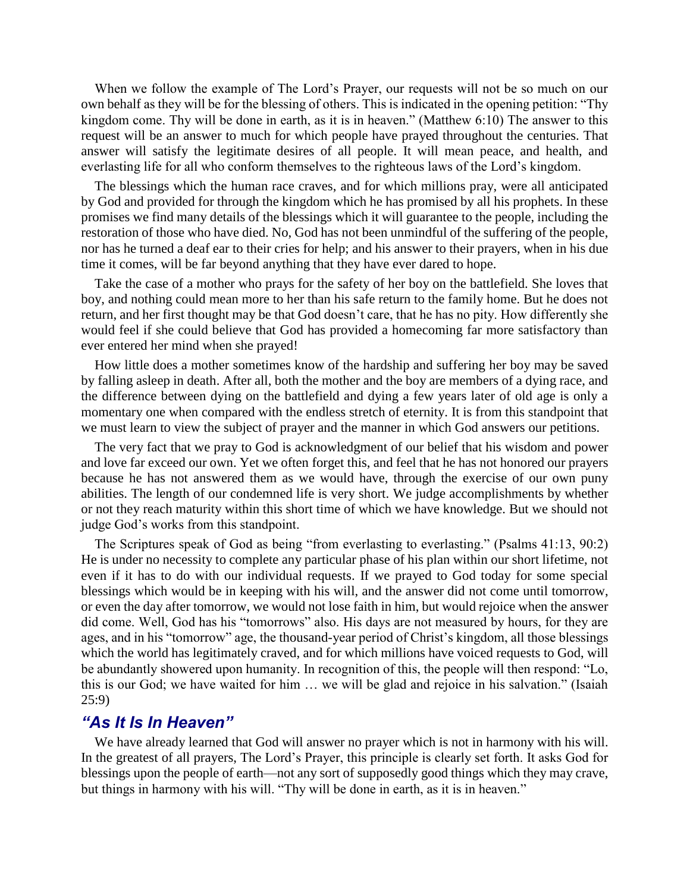When we follow the example of The Lord's Prayer, our requests will not be so much on our own behalf as they will be for the blessing of others. This is indicated in the opening petition: "Thy kingdom come. Thy will be done in earth, as it is in heaven." (Matthew 6:10) The answer to this request will be an answer to much for which people have prayed throughout the centuries. That answer will satisfy the legitimate desires of all people. It will mean peace, and health, and everlasting life for all who conform themselves to the righteous laws of the Lord's kingdom.

The blessings which the human race craves, and for which millions pray, were all anticipated by God and provided for through the kingdom which he has promised by all his prophets. In these promises we find many details of the blessings which it will guarantee to the people, including the restoration of those who have died. No, God has not been unmindful of the suffering of the people, nor has he turned a deaf ear to their cries for help; and his answer to their prayers, when in his due time it comes, will be far beyond anything that they have ever dared to hope.

Take the case of a mother who prays for the safety of her boy on the battlefield. She loves that boy, and nothing could mean more to her than his safe return to the family home. But he does not return, and her first thought may be that God doesn't care, that he has no pity. How differently she would feel if she could believe that God has provided a homecoming far more satisfactory than ever entered her mind when she prayed!

How little does a mother sometimes know of the hardship and suffering her boy may be saved by falling asleep in death. After all, both the mother and the boy are members of a dying race, and the difference between dying on the battlefield and dying a few years later of old age is only a momentary one when compared with the endless stretch of eternity. It is from this standpoint that we must learn to view the subject of prayer and the manner in which God answers our petitions.

The very fact that we pray to God is acknowledgment of our belief that his wisdom and power and love far exceed our own. Yet we often forget this, and feel that he has not honored our prayers because he has not answered them as we would have, through the exercise of our own puny abilities. The length of our condemned life is very short. We judge accomplishments by whether or not they reach maturity within this short time of which we have knowledge. But we should not judge God's works from this standpoint.

The Scriptures speak of God as being "from everlasting to everlasting." (Psalms 41:13, 90:2) He is under no necessity to complete any particular phase of his plan within our short lifetime, not even if it has to do with our individual requests. If we prayed to God today for some special blessings which would be in keeping with his will, and the answer did not come until tomorrow, or even the day after tomorrow, we would not lose faith in him, but would rejoice when the answer did come. Well, God has his "tomorrows" also. His days are not measured by hours, for they are ages, and in his "tomorrow" age, the thousand-year period of Christ's kingdom, all those blessings which the world has legitimately craved, and for which millions have voiced requests to God, will be abundantly showered upon humanity. In recognition of this, the people will then respond: "Lo, this is our God; we have waited for him … we will be glad and rejoice in his salvation." (Isaiah 25:9)

#### *"As It Is In Heaven"*

We have already learned that God will answer no prayer which is not in harmony with his will. In the greatest of all prayers, The Lord's Prayer, this principle is clearly set forth. It asks God for blessings upon the people of earth—not any sort of supposedly good things which they may crave, but things in harmony with his will. "Thy will be done in earth, as it is in heaven."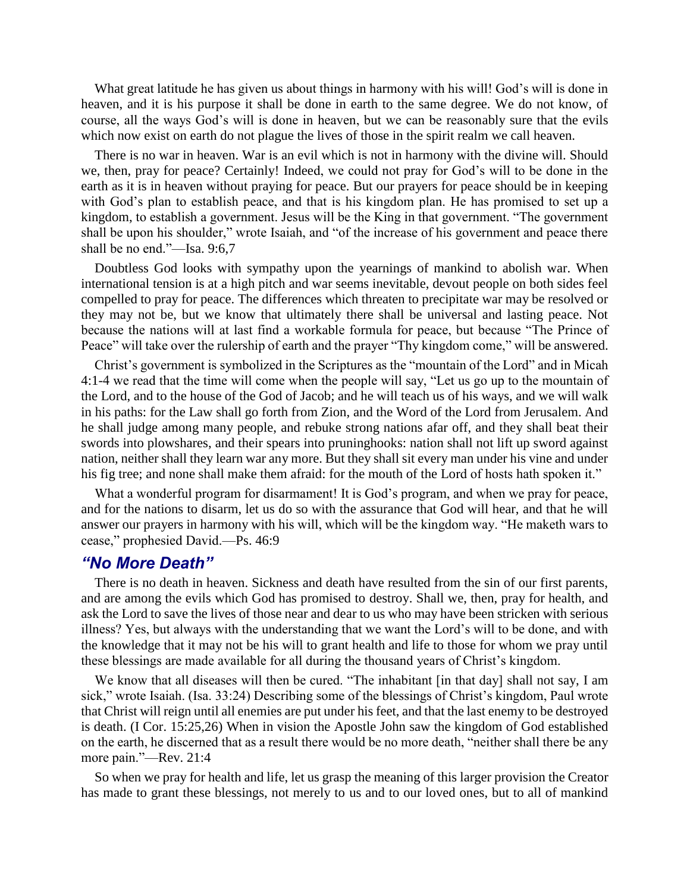What great latitude he has given us about things in harmony with his will! God's will is done in heaven, and it is his purpose it shall be done in earth to the same degree. We do not know, of course, all the ways God's will is done in heaven, but we can be reasonably sure that the evils which now exist on earth do not plague the lives of those in the spirit realm we call heaven.

There is no war in heaven. War is an evil which is not in harmony with the divine will. Should we, then, pray for peace? Certainly! Indeed, we could not pray for God's will to be done in the earth as it is in heaven without praying for peace. But our prayers for peace should be in keeping with God's plan to establish peace, and that is his kingdom plan. He has promised to set up a kingdom, to establish a government. Jesus will be the King in that government. "The government shall be upon his shoulder," wrote Isaiah, and "of the increase of his government and peace there shall be no end."—Isa. 9:6,7

Doubtless God looks with sympathy upon the yearnings of mankind to abolish war. When international tension is at a high pitch and war seems inevitable, devout people on both sides feel compelled to pray for peace. The differences which threaten to precipitate war may be resolved or they may not be, but we know that ultimately there shall be universal and lasting peace. Not because the nations will at last find a workable formula for peace, but because "The Prince of Peace" will take over the rulership of earth and the prayer "Thy kingdom come," will be answered.

Christ's government is symbolized in the Scriptures as the "mountain of the Lord" and in Micah 4:1-4 we read that the time will come when the people will say, "Let us go up to the mountain of the Lord, and to the house of the God of Jacob; and he will teach us of his ways, and we will walk in his paths: for the Law shall go forth from Zion, and the Word of the Lord from Jerusalem. And he shall judge among many people, and rebuke strong nations afar off, and they shall beat their swords into plowshares, and their spears into pruninghooks: nation shall not lift up sword against nation, neither shall they learn war any more. But they shall sit every man under his vine and under his fig tree; and none shall make them afraid: for the mouth of the Lord of hosts hath spoken it."

What a wonderful program for disarmament! It is God's program, and when we pray for peace, and for the nations to disarm, let us do so with the assurance that God will hear, and that he will answer our prayers in harmony with his will, which will be the kingdom way. "He maketh wars to cease," prophesied David.—Ps. 46:9

### *"No More Death"*

There is no death in heaven. Sickness and death have resulted from the sin of our first parents, and are among the evils which God has promised to destroy. Shall we, then, pray for health, and ask the Lord to save the lives of those near and dear to us who may have been stricken with serious illness? Yes, but always with the understanding that we want the Lord's will to be done, and with the knowledge that it may not be his will to grant health and life to those for whom we pray until these blessings are made available for all during the thousand years of Christ's kingdom.

We know that all diseases will then be cured. "The inhabitant [in that day] shall not say, I am sick," wrote Isaiah. (Isa. 33:24) Describing some of the blessings of Christ's kingdom, Paul wrote that Christ will reign until all enemies are put under his feet, and that the last enemy to be destroyed is death. (I Cor. 15:25,26) When in vision the Apostle John saw the kingdom of God established on the earth, he discerned that as a result there would be no more death, "neither shall there be any more pain."—Rev. 21:4

So when we pray for health and life, let us grasp the meaning of this larger provision the Creator has made to grant these blessings, not merely to us and to our loved ones, but to all of mankind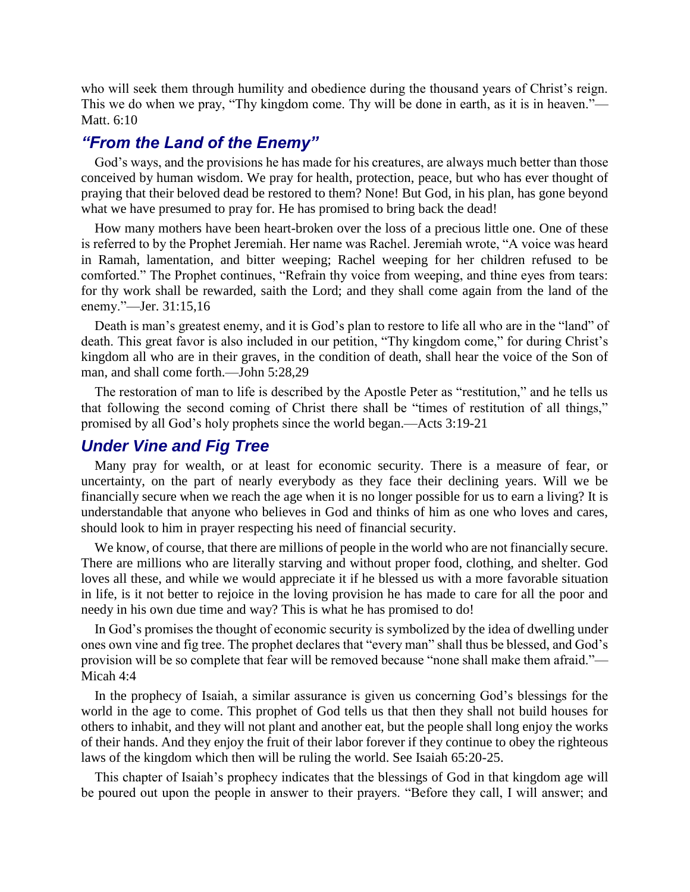who will seek them through humility and obedience during the thousand years of Christ's reign. This we do when we pray, "Thy kingdom come. Thy will be done in earth, as it is in heaven."— Matt. 6:10

## *"From the Land of the Enemy"*

God's ways, and the provisions he has made for his creatures, are always much better than those conceived by human wisdom. We pray for health, protection, peace, but who has ever thought of praying that their beloved dead be restored to them? None! But God, in his plan, has gone beyond what we have presumed to pray for. He has promised to bring back the dead!

How many mothers have been heart-broken over the loss of a precious little one. One of these is referred to by the Prophet Jeremiah. Her name was Rachel. Jeremiah wrote, "A voice was heard in Ramah, lamentation, and bitter weeping; Rachel weeping for her children refused to be comforted." The Prophet continues, "Refrain thy voice from weeping, and thine eyes from tears: for thy work shall be rewarded, saith the Lord; and they shall come again from the land of the enemy."—Jer. 31:15,16

Death is man's greatest enemy, and it is God's plan to restore to life all who are in the "land" of death. This great favor is also included in our petition, "Thy kingdom come," for during Christ's kingdom all who are in their graves, in the condition of death, shall hear the voice of the Son of man, and shall come forth.—John 5:28,29

The restoration of man to life is described by the Apostle Peter as "restitution," and he tells us that following the second coming of Christ there shall be "times of restitution of all things," promised by all God's holy prophets since the world began.—Acts 3:19-21

## *Under Vine and Fig Tree*

Many pray for wealth, or at least for economic security. There is a measure of fear, or uncertainty, on the part of nearly everybody as they face their declining years. Will we be financially secure when we reach the age when it is no longer possible for us to earn a living? It is understandable that anyone who believes in God and thinks of him as one who loves and cares, should look to him in prayer respecting his need of financial security.

We know, of course, that there are millions of people in the world who are not financially secure. There are millions who are literally starving and without proper food, clothing, and shelter. God loves all these, and while we would appreciate it if he blessed us with a more favorable situation in life, is it not better to rejoice in the loving provision he has made to care for all the poor and needy in his own due time and way? This is what he has promised to do!

In God's promises the thought of economic security is symbolized by the idea of dwelling under ones own vine and fig tree. The prophet declares that "every man" shall thus be blessed, and God's provision will be so complete that fear will be removed because "none shall make them afraid."— Micah 4:4

In the prophecy of Isaiah, a similar assurance is given us concerning God's blessings for the world in the age to come. This prophet of God tells us that then they shall not build houses for others to inhabit, and they will not plant and another eat, but the people shall long enjoy the works of their hands. And they enjoy the fruit of their labor forever if they continue to obey the righteous laws of the kingdom which then will be ruling the world. See Isaiah 65:20-25.

This chapter of Isaiah's prophecy indicates that the blessings of God in that kingdom age will be poured out upon the people in answer to their prayers. "Before they call, I will answer; and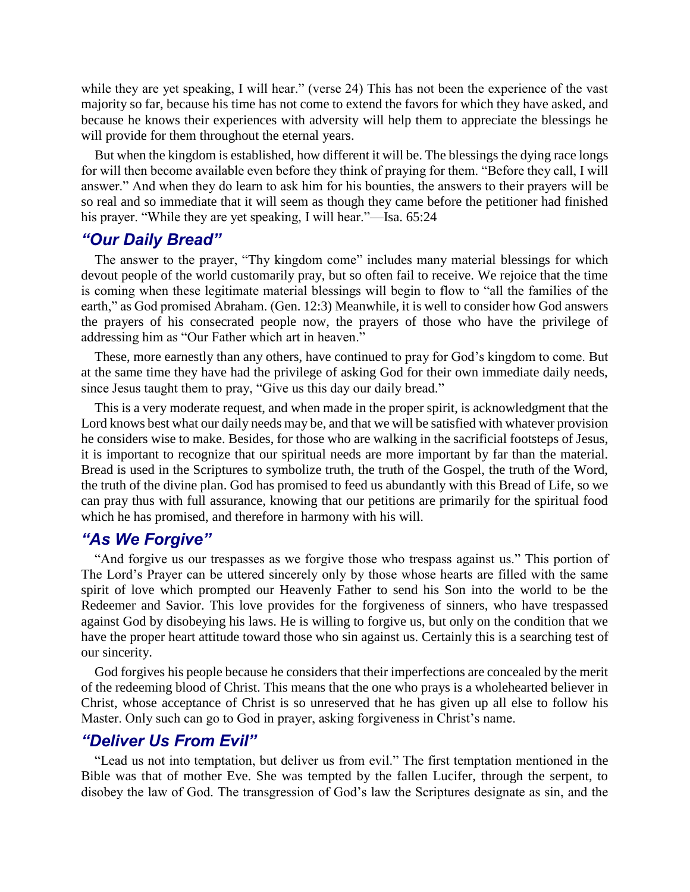while they are yet speaking, I will hear." (verse 24) This has not been the experience of the vast majority so far, because his time has not come to extend the favors for which they have asked, and because he knows their experiences with adversity will help them to appreciate the blessings he will provide for them throughout the eternal years.

But when the kingdom is established, how different it will be. The blessings the dying race longs for will then become available even before they think of praying for them. "Before they call, I will answer." And when they do learn to ask him for his bounties, the answers to their prayers will be so real and so immediate that it will seem as though they came before the petitioner had finished his prayer. "While they are yet speaking, I will hear."—Isa. 65:24

## *"Our Daily Bread"*

The answer to the prayer, "Thy kingdom come" includes many material blessings for which devout people of the world customarily pray, but so often fail to receive. We rejoice that the time is coming when these legitimate material blessings will begin to flow to "all the families of the earth," as God promised Abraham. (Gen. 12:3) Meanwhile, it is well to consider how God answers the prayers of his consecrated people now, the prayers of those who have the privilege of addressing him as "Our Father which art in heaven."

These, more earnestly than any others, have continued to pray for God's kingdom to come. But at the same time they have had the privilege of asking God for their own immediate daily needs, since Jesus taught them to pray, "Give us this day our daily bread."

This is a very moderate request, and when made in the proper spirit, is acknowledgment that the Lord knows best what our daily needs may be, and that we will be satisfied with whatever provision he considers wise to make. Besides, for those who are walking in the sacrificial footsteps of Jesus, it is important to recognize that our spiritual needs are more important by far than the material. Bread is used in the Scriptures to symbolize truth, the truth of the Gospel, the truth of the Word, the truth of the divine plan. God has promised to feed us abundantly with this Bread of Life, so we can pray thus with full assurance, knowing that our petitions are primarily for the spiritual food which he has promised, and therefore in harmony with his will.

## *"As We Forgive"*

"And forgive us our trespasses as we forgive those who trespass against us." This portion of The Lord's Prayer can be uttered sincerely only by those whose hearts are filled with the same spirit of love which prompted our Heavenly Father to send his Son into the world to be the Redeemer and Savior. This love provides for the forgiveness of sinners, who have trespassed against God by disobeying his laws. He is willing to forgive us, but only on the condition that we have the proper heart attitude toward those who sin against us. Certainly this is a searching test of our sincerity.

God forgives his people because he considers that their imperfections are concealed by the merit of the redeeming blood of Christ. This means that the one who prays is a wholehearted believer in Christ, whose acceptance of Christ is so unreserved that he has given up all else to follow his Master. Only such can go to God in prayer, asking forgiveness in Christ's name.

#### *"Deliver Us From Evil"*

"Lead us not into temptation, but deliver us from evil." The first temptation mentioned in the Bible was that of mother Eve. She was tempted by the fallen Lucifer, through the serpent, to disobey the law of God. The transgression of God's law the Scriptures designate as sin, and the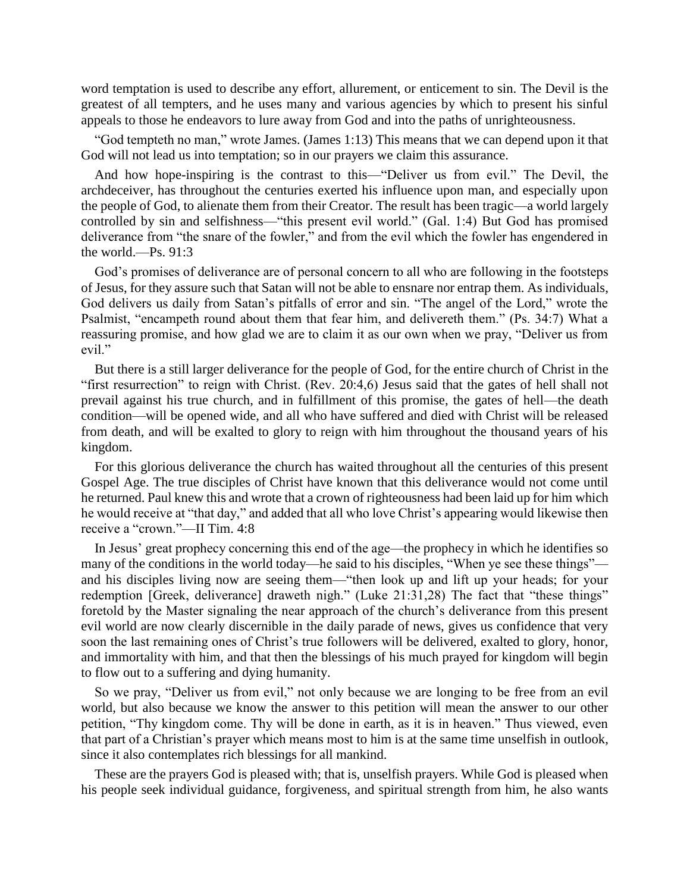word temptation is used to describe any effort, allurement, or enticement to sin. The Devil is the greatest of all tempters, and he uses many and various agencies by which to present his sinful appeals to those he endeavors to lure away from God and into the paths of unrighteousness.

"God tempteth no man," wrote James. (James 1:13) This means that we can depend upon it that God will not lead us into temptation; so in our prayers we claim this assurance.

And how hope-inspiring is the contrast to this—"Deliver us from evil." The Devil, the archdeceiver, has throughout the centuries exerted his influence upon man, and especially upon the people of God, to alienate them from their Creator. The result has been tragic—a world largely controlled by sin and selfishness—"this present evil world." (Gal. 1:4) But God has promised deliverance from "the snare of the fowler," and from the evil which the fowler has engendered in the world.—Ps. 91:3

God's promises of deliverance are of personal concern to all who are following in the footsteps of Jesus, for they assure such that Satan will not be able to ensnare nor entrap them. As individuals, God delivers us daily from Satan's pitfalls of error and sin. "The angel of the Lord," wrote the Psalmist, "encampeth round about them that fear him, and delivereth them." (Ps. 34:7) What a reassuring promise, and how glad we are to claim it as our own when we pray, "Deliver us from evil."

But there is a still larger deliverance for the people of God, for the entire church of Christ in the "first resurrection" to reign with Christ. (Rev. 20:4,6) Jesus said that the gates of hell shall not prevail against his true church, and in fulfillment of this promise, the gates of hell—the death condition—will be opened wide, and all who have suffered and died with Christ will be released from death, and will be exalted to glory to reign with him throughout the thousand years of his kingdom.

For this glorious deliverance the church has waited throughout all the centuries of this present Gospel Age. The true disciples of Christ have known that this deliverance would not come until he returned. Paul knew this and wrote that a crown of righteousness had been laid up for him which he would receive at "that day," and added that all who love Christ's appearing would likewise then receive a "crown."—II Tim. 4:8

In Jesus' great prophecy concerning this end of the age—the prophecy in which he identifies so many of the conditions in the world today—he said to his disciples, "When ye see these things" and his disciples living now are seeing them—"then look up and lift up your heads; for your redemption [Greek, deliverance] draweth nigh." (Luke 21:31,28) The fact that "these things" foretold by the Master signaling the near approach of the church's deliverance from this present evil world are now clearly discernible in the daily parade of news, gives us confidence that very soon the last remaining ones of Christ's true followers will be delivered, exalted to glory, honor, and immortality with him, and that then the blessings of his much prayed for kingdom will begin to flow out to a suffering and dying humanity.

So we pray, "Deliver us from evil," not only because we are longing to be free from an evil world, but also because we know the answer to this petition will mean the answer to our other petition, "Thy kingdom come. Thy will be done in earth, as it is in heaven." Thus viewed, even that part of a Christian's prayer which means most to him is at the same time unselfish in outlook, since it also contemplates rich blessings for all mankind.

These are the prayers God is pleased with; that is, unselfish prayers. While God is pleased when his people seek individual guidance, forgiveness, and spiritual strength from him, he also wants